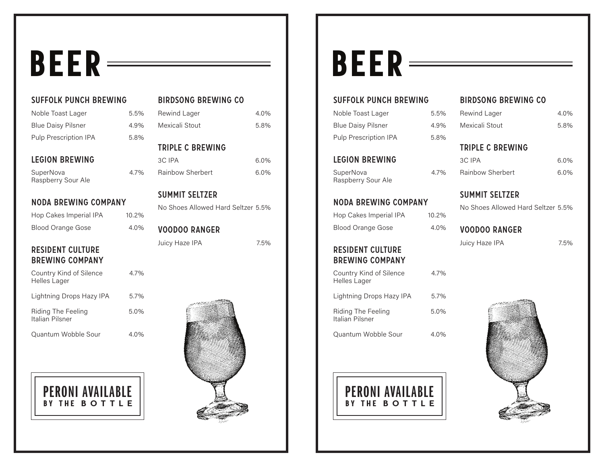# BEER

SUFFOLK PUNCH BREWING

| Noble Toast Lager                                 | 5.5%  | <b>Rewin</b>   |
|---------------------------------------------------|-------|----------------|
| <b>Blue Daisy Pilsner</b>                         | 4.9%  | Mexica         |
| Pulp Prescription IPA                             | 5.8%  |                |
|                                                   |       | <b>TRIPL</b>   |
| <b>LEGION BREWING</b>                             |       | 3C IPA         |
| SuperNova<br>Raspberry Sour Ale                   | 4.7%  | Rainbo         |
|                                                   |       | <b>SUMM</b>    |
| <b>NODA BREWING COMPANY</b>                       |       | No Sh          |
| Hop Cakes Imperial IPA                            | 10.2% |                |
| <b>Blood Orange Gose</b>                          | 4.0%  | <b>VOOD</b>    |
| <b>RESIDENT CULTURE</b><br><b>BREWING COMPANY</b> |       | Juicy <b>H</b> |
| Country Kind of Silence<br><b>Helles Lager</b>    | 4.7%  |                |
| Lightning Drops Hazy IPA                          | 5.7%  |                |
| <b>Riding The Feeling</b><br>Italian Pilsner      | 5.0%  |                |
| Quantum Wobble Sour                               | 4.0%  |                |



### BIRDSONG BREWING CO d Lager 4.0% ali Stout 5.8% **E C BREWING**

 $\sim 6.0\%$ ow Sherbert 6.0%

#### **MIT SELTZER**

oes Allowed Hard Seltzer 5.5%

### OO RANGER Haze IPA

7.5%



# BEER

### SUFFOLK PUNCH BREWING

| Noble Toast Lager            | $5.5\%$ |
|------------------------------|---------|
| <b>Blue Daisy Pilsner</b>    | 4.9%    |
| <b>Pulp Prescription IPA</b> | 5.8%    |

### LEGION BREWING

SuperNova 4.7% Raspberry Sour Ale

#### NODA BREWING COMPANY

| Hop Cakes Imperial IPA   | 10.2% |
|--------------------------|-------|
| <b>Blood Orange Gose</b> | 4.0%  |

### RESIDENT CULTURE BREWING COMPANY

| Country Kind of Silence<br><b>Helles Lager</b> | 4.7% |
|------------------------------------------------|------|
| Lightning Drops Hazy IPA                       | 5.7% |
| Riding The Feeling<br>Italian Pilsner          | 5.0% |

Quantum Wobble Sour 4.0%

BY THE **BOTTLE** PERONI AVAILABLE

#### BIRDSONG BREWING CO

| Rewind Lager   | 4.0% |
|----------------|------|
| Mexicali Stout | 5.8% |

### TRIPLE C BREWING

| 3C IPA                  | 6.0%    |
|-------------------------|---------|
| <b>Rainbow Sherbert</b> | $6.0\%$ |

#### SUMMIT SELTZER

No Shoes Allowed Hard Seltzer 5.5%

#### VOODOO RANGER

Juicy Haze IPA

7.5%